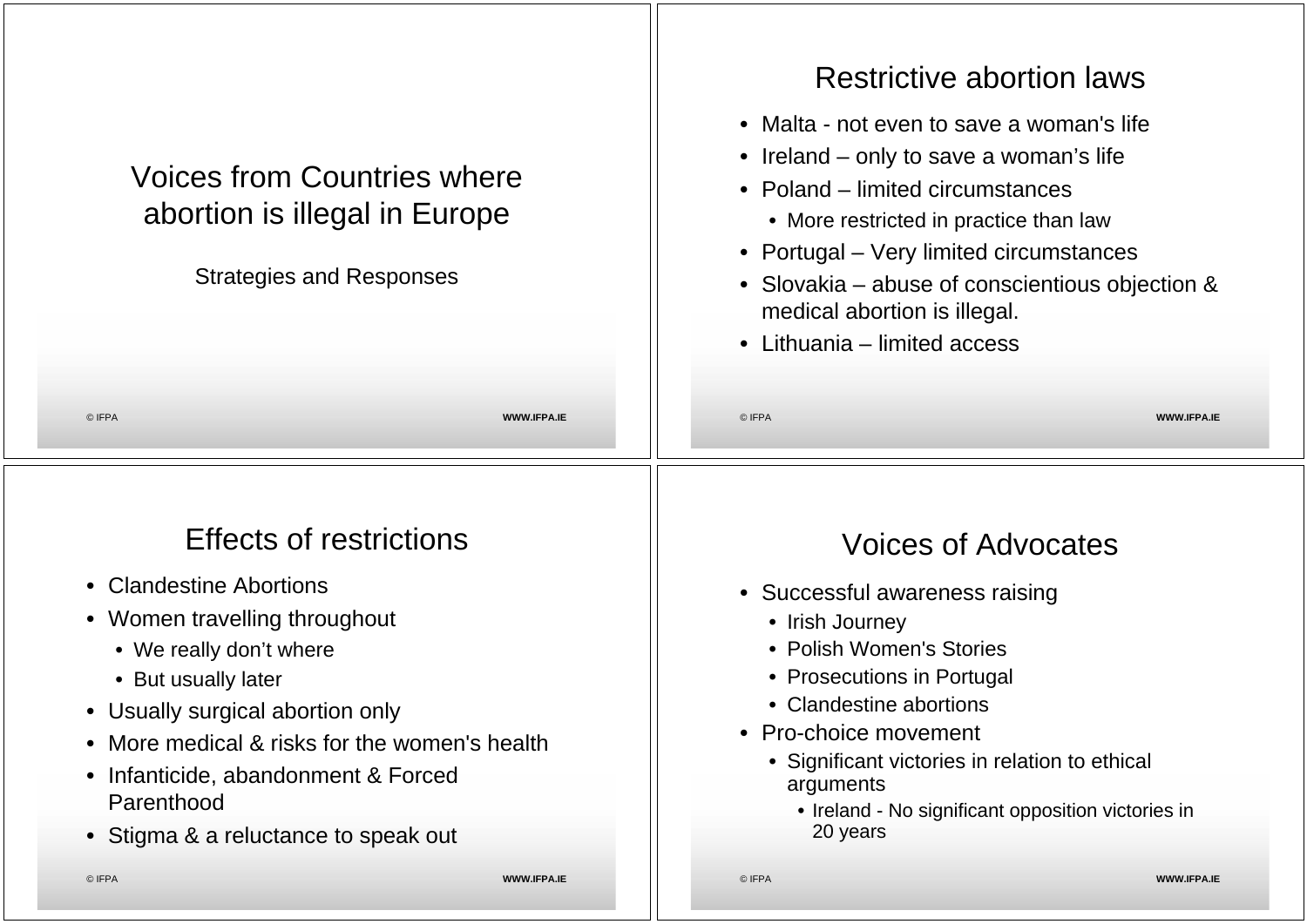| © IFPA<br>© IFPA<br><b>WWW.IFPA.IE</b><br><b>WWW.IFPA.IE</b><br><b>Effects of restrictions</b><br><b>Voices of Advocates</b><br><b>Clandestine Abortions</b><br>$\bullet$<br>• Successful awareness raising<br>• Women travelling throughout<br>• Irish Journey<br>• Polish Women's Stories<br>• We really don't where<br>• Prosecutions in Portugal<br>• But usually later<br>• Clandestine abortions<br>• Usually surgical abortion only<br>• Pro-choice movement<br>More medical & risks for the women's health<br>$\bullet$<br>• Significant victories in relation to ethical<br>Infanticide, abandonment & Forced<br>$\bullet$<br>arguments<br>Parenthood<br>• Ireland - No significant opposition victories in | <b>Voices from Countries where</b><br>abortion is illegal in Europe<br><b>Strategies and Responses</b> | <b>Restrictive abortion laws</b><br>• Malta - not even to save a woman's life<br>• Ireland – only to save a woman's life<br>• Poland – limited circumstances<br>• More restricted in practice than law<br>• Portugal – Very limited circumstances<br>• Slovakia – abuse of conscientious objection &<br>medical abortion is illegal.<br>• Lithuania – limited access |  |
|----------------------------------------------------------------------------------------------------------------------------------------------------------------------------------------------------------------------------------------------------------------------------------------------------------------------------------------------------------------------------------------------------------------------------------------------------------------------------------------------------------------------------------------------------------------------------------------------------------------------------------------------------------------------------------------------------------------------|--------------------------------------------------------------------------------------------------------|----------------------------------------------------------------------------------------------------------------------------------------------------------------------------------------------------------------------------------------------------------------------------------------------------------------------------------------------------------------------|--|
|                                                                                                                                                                                                                                                                                                                                                                                                                                                                                                                                                                                                                                                                                                                      |                                                                                                        |                                                                                                                                                                                                                                                                                                                                                                      |  |
|                                                                                                                                                                                                                                                                                                                                                                                                                                                                                                                                                                                                                                                                                                                      | • Stigma & a reluctance to speak out                                                                   | 20 years                                                                                                                                                                                                                                                                                                                                                             |  |

 $\mathbf{1}$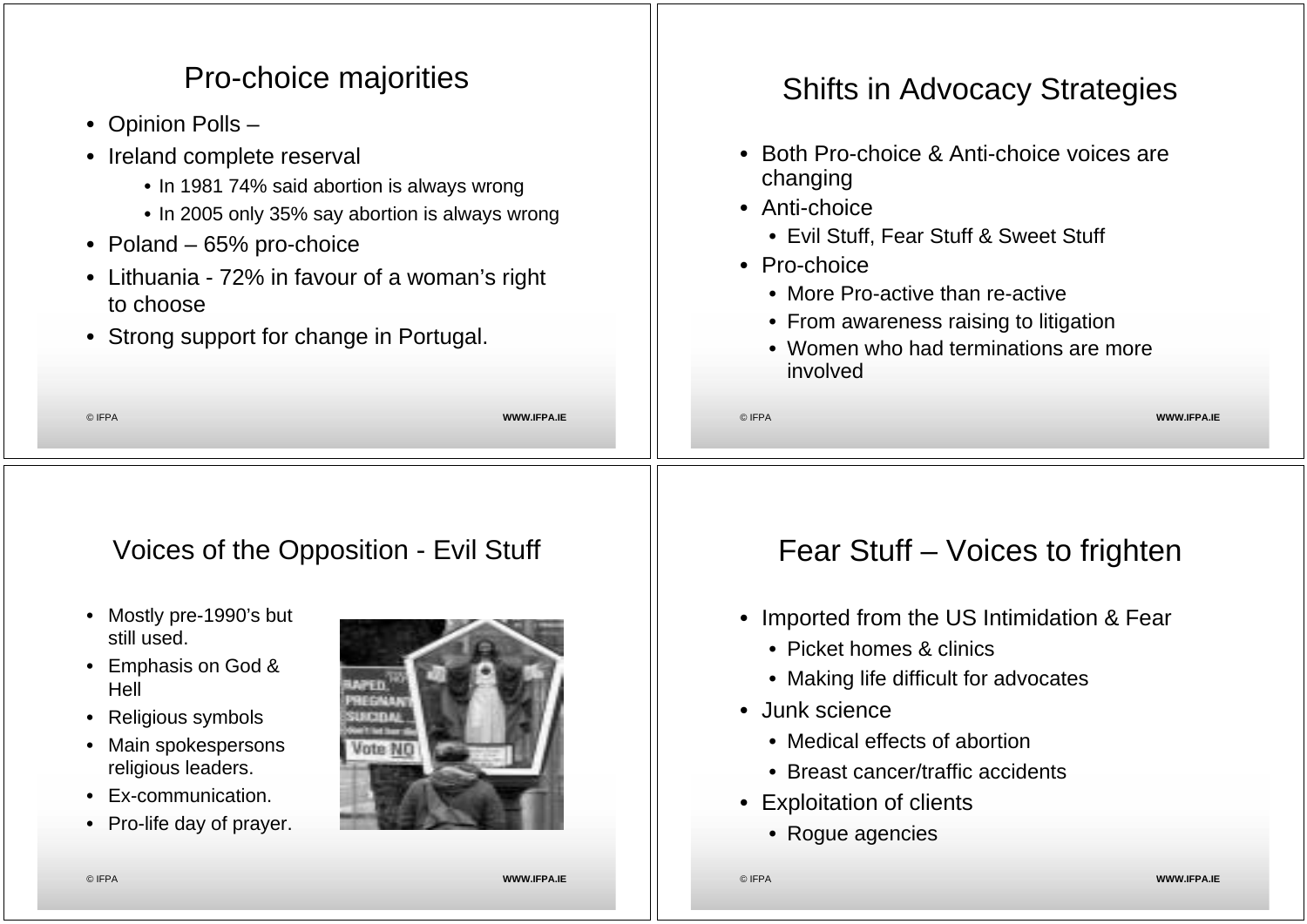## © IFPA **WWW.IFPA.IE** Pro-choice majorities • Opinion Polls – • Ireland complete reserval • In 1981 74% said abortion is always wrong • In 2005 only 35% say abortion is always wrong • Poland – 65% pro-choice • Lithuania - 72% in favour of a woman's right to choose • Strong support for change in Portugal. © IFPA **WWW.IFPA.IE** Shifts in Advocacy Strategies • Both Pro-choice & Anti-choice voices are changing • Anti-choice • Evil Stuff, Fear Stuff & Sweet Stuff • Pro-choice • More Pro-active than re-active • From awareness raising to litigation • Women who had terminations are more involved Voices of the Opposition - Evil Stuff • Mostly pre-1990's but still used. • Emphasis on God & Hell • Religious symbols • Main spokespersons religious leaders. Fear Stuff – Voices to frighten • Imported from the US Intimidation & Fear • Picket homes & clinics • Making life difficult for advocates • Junk science • Medical effects of abortion • Breast cancer/traffic accidents

- Ex-communication.
- Pro-life day of prayer.



• Exploitation of clients

• Rogue agencies